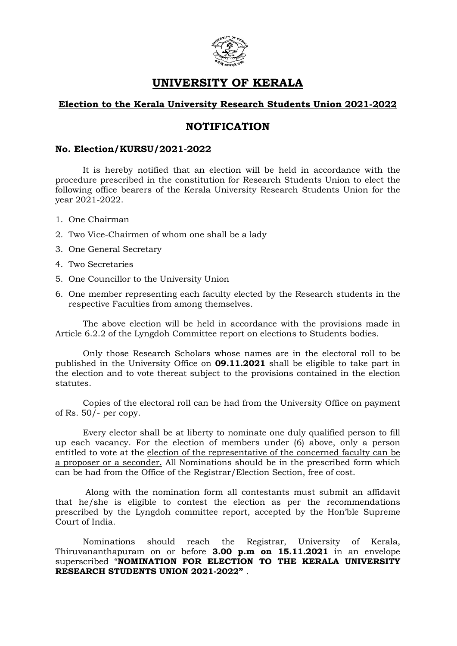

# UNIVERSITY OF KERALA

## Election to the Kerala University Research Students Union 2021-2022

## **NOTIFICATION**

#### No. Election/KURSU/2021-2022

It is hereby notified that an election will be held in accordance with the procedure prescribed in the constitution for Research Students Union to elect the following office bearers of the Kerala University Research Students Union for the year 2021-2022.

- 1. One Chairman
- 2. Two Vice-Chairmen of whom one shall be a lady
- 3. One General Secretary
- 4. Two Secretaries
- 5. One Councillor to the University Union
- 6. One member representing each faculty elected by the Research students in the respective Faculties from among themselves.

The above election will be held in accordance with the provisions made in Article 6.2.2 of the Lyngdoh Committee report on elections to Students bodies.

Only those Research Scholars whose names are in the electoral roll to be published in the University Office on 09.11.2021 shall be eligible to take part in the election and to vote thereat subject to the provisions contained in the election statutes.

Copies of the electoral roll can be had from the University Office on payment of Rs. 50/- per copy.

Every elector shall be at liberty to nominate one duly qualified person to fill up each vacancy. For the election of members under (6) above, only a person entitled to vote at the election of the representative of the concerned faculty can be a proposer or a seconder. All Nominations should be in the prescribed form which can be had from the Office of the Registrar/Election Section, free of cost.

 Along with the nomination form all contestants must submit an affidavit that he/she is eligible to contest the election as per the recommendations prescribed by the Lyngdoh committee report, accepted by the Hon'ble Supreme Court of India.

Nominations should reach the Registrar, University of Kerala, Thiruvananthapuram on or before 3.00 p.m on 15.11.2021 in an envelope superscribed "NOMINATION FOR ELECTION TO THE KERALA UNIVERSITY RESEARCH STUDENTS UNION 2021-2022" .